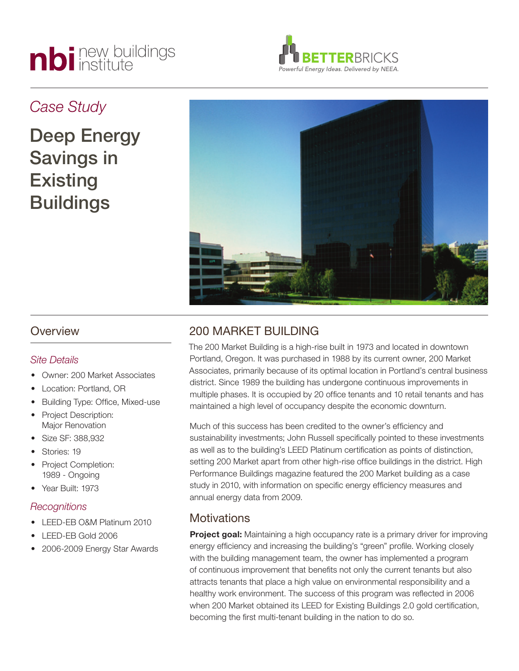# nbi new buildings



# *Case Study*

Deep Energy Savings in **Existing** Buildings



## **Overview**

## *Site Details*

- Owner: 200 Market Associates
- Location: Portland, OR
- **Building Type: Office, Mixed-use**
- Project Description: Major Renovation
- Size SF: 388,932
- Stories: 19
- **Project Completion:** 1989 - Ongoing
- • Year Built: 1973

## *Recognitions*

- LEED-EB O&M Platinum 2010
- LEED-EB Gold 2006
- 2006-2009 Energy Star Awards

# 200 MARKET BUILDING

The 200 Market Building is a high-rise built in 1973 and located in downtown Portland, Oregon. It was purchased in 1988 by its current owner, 200 Market Associates, primarily because of its optimal location in Portland's central business district. Since 1989 the building has undergone continuous improvements in multiple phases. It is occupied by 20 office tenants and 10 retail tenants and has maintained a high level of occupancy despite the economic downturn.

Much of this success has been credited to the owner's efficiency and sustainability investments; John Russell specifically pointed to these investments as well as to the building's LEED Platinum certification as points of distinction, setting 200 Market apart from other high-rise office buildings in the district. High Performance Buildings magazine featured the 200 Market building as a case study in 2010, with information on specific energy efficiency measures and annual energy data from 2009.

# **Motivations**

**Project goal:** Maintaining a high occupancy rate is a primary driver for improving energy efficiency and increasing the building's "green" profile. Working closely with the building management team, the owner has implemented a program of continuous improvement that benefits not only the current tenants but also attracts tenants that place a high value on environmental responsibility and a healthy work environment. The success of this program was reflected in 2006 when 200 Market obtained its LEED for Existing Buildings 2.0 gold certification, becoming the first multi-tenant building in the nation to do so.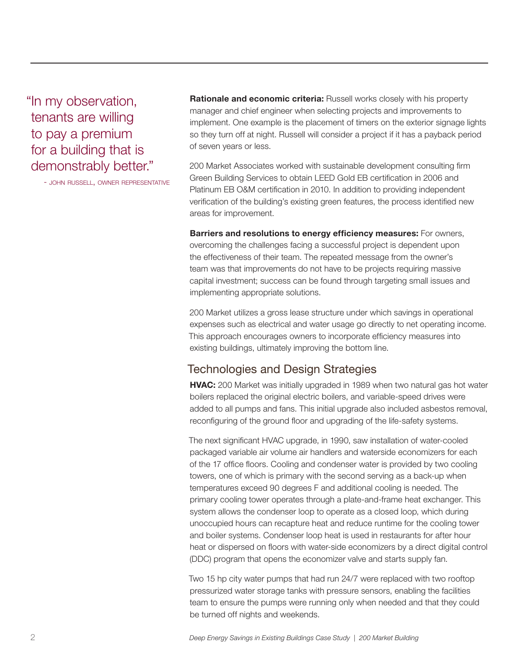"In my observation, tenants are willing to pay a premium for a building that is demonstrably better."

- JOHN RUSSELL, OWNER REPRESENTATIVE

**Rationale and economic criteria:** Russell works closely with his property manager and chief engineer when selecting projects and improvements to implement. One example is the placement of timers on the exterior signage lights so they turn off at night. Russell will consider a project if it has a payback period of seven years or less.

200 Market Associates worked with sustainable development consulting firm Green Building Services to obtain LEED Gold EB certification in 2006 and Platinum EB O&M certification in 2010. In addition to providing independent verification of the building's existing green features, the process identified new areas for improvement.

**Barriers and resolutions to energy efficiency measures:** For owners, overcoming the challenges facing a successful project is dependent upon the effectiveness of their team. The repeated message from the owner's team was that improvements do not have to be projects requiring massive capital investment; success can be found through targeting small issues and implementing appropriate solutions.

200 Market utilizes a gross lease structure under which savings in operational expenses such as electrical and water usage go directly to net operating income. This approach encourages owners to incorporate efficiency measures into existing buildings, ultimately improving the bottom line.

## Technologies and Design Strategies

**HVAC:** 200 Market was initially upgraded in 1989 when two natural gas hot water boilers replaced the original electric boilers, and variable-speed drives were added to all pumps and fans. This initial upgrade also included asbestos removal, reconfiguring of the ground floor and upgrading of the life-safety systems.

The next significant HVAC upgrade, in 1990, saw installation of water-cooled packaged variable air volume air handlers and waterside economizers for each of the 17 office floors. Cooling and condenser water is provided by two cooling towers, one of which is primary with the second serving as a back-up when temperatures exceed 90 degrees F and additional cooling is needed. The primary cooling tower operates through a plate-and-frame heat exchanger. This system allows the condenser loop to operate as a closed loop, which during unoccupied hours can recapture heat and reduce runtime for the cooling tower and boiler systems. Condenser loop heat is used in restaurants for after hour heat or dispersed on floors with water-side economizers by a direct digital control (DDC) program that opens the economizer valve and starts supply fan.

Two 15 hp city water pumps that had run 24/7 were replaced with two rooftop pressurized water storage tanks with pressure sensors, enabling the facilities team to ensure the pumps were running only when needed and that they could be turned off nights and weekends.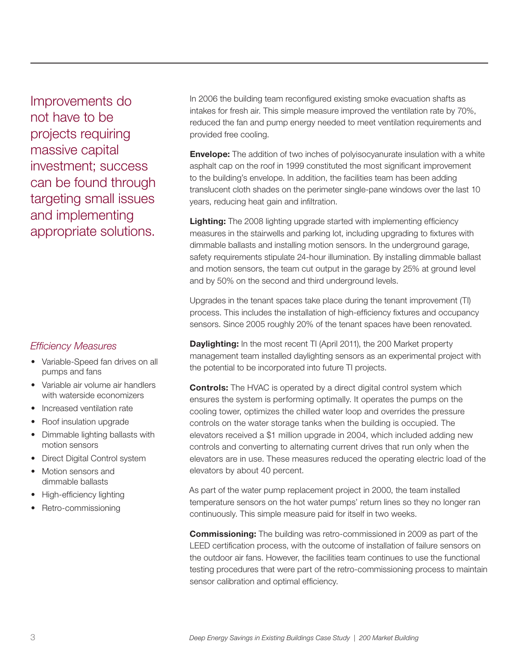Improvements do not have to be projects requiring massive capital investment; success can be found through targeting small issues and implementing appropriate solutions.

## *Efficiency Measures*

- Variable-Speed fan drives on all pumps and fans
- Variable air volume air handlers with waterside economizers
- Increased ventilation rate
- Roof insulation upgrade
- Dimmable lighting ballasts with motion sensors
- **Direct Digital Control system**
- • Motion sensors and dimmable ballasts
- High-efficiency lighting
- Retro-commissioning

In 2006 the building team reconfigured existing smoke evacuation shafts as intakes for fresh air. This simple measure improved the ventilation rate by 70%, reduced the fan and pump energy needed to meet ventilation requirements and provided free cooling.

**Envelope:** The addition of two inches of polyisocyanurate insulation with a white asphalt cap on the roof in 1999 constituted the most significant improvement to the building's envelope. In addition, the facilities team has been adding translucent cloth shades on the perimeter single-pane windows over the last 10 years, reducing heat gain and infiltration.

**Lighting:** The 2008 lighting upgrade started with implementing efficiency measures in the stairwells and parking lot, including upgrading to fixtures with dimmable ballasts and installing motion sensors. In the underground garage, safety requirements stipulate 24-hour illumination. By installing dimmable ballast and motion sensors, the team cut output in the garage by 25% at ground level and by 50% on the second and third underground levels.

Upgrades in the tenant spaces take place during the tenant improvement (TI) process. This includes the installation of high-efficiency fixtures and occupancy sensors. Since 2005 roughly 20% of the tenant spaces have been renovated.

**Daylighting:** In the most recent TI (April 2011), the 200 Market property management team installed daylighting sensors as an experimental project with the potential to be incorporated into future TI projects.

**Controls:** The HVAC is operated by a direct digital control system which ensures the system is performing optimally. It operates the pumps on the cooling tower, optimizes the chilled water loop and overrides the pressure controls on the water storage tanks when the building is occupied. The elevators received a \$1 million upgrade in 2004, which included adding new controls and converting to alternating current drives that run only when the elevators are in use. These measures reduced the operating electric load of the elevators by about 40 percent.

As part of the water pump replacement project in 2000, the team installed temperature sensors on the hot water pumps' return lines so they no longer ran continuously. This simple measure paid for itself in two weeks.

**Commissioning:** The building was retro-commissioned in 2009 as part of the LEED certification process, with the outcome of installation of failure sensors on the outdoor air fans. However, the facilities team continues to use the functional testing procedures that were part of the retro-commissioning process to maintain sensor calibration and optimal efficiency.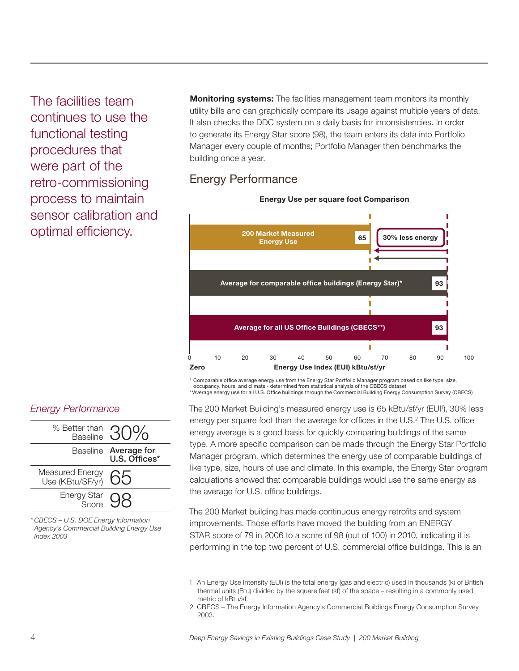The facilities team continues to use the functional testing procedures that were part of the retro-commissioning process to maintain sensor calibration and optimal efficiency.

*Energy Performance*



*\* CBECS – U.S. DOE Energy Information Agency's Commercial Building Energy Use Index 2003*

**Monitoring systems:** The facilities management team monitors its monthly utility bills and can graphically compare its usage against multiple years of data. It also checks the DDC system on a daily basis for inconsistencies. In order to generate its Energy Star score (98), the team enters its data into Portfolio Manager every couple of months; Portfolio Manager then benchmarks the building once a year.

# Energy Performance



**Energy Use per square foot Comparison**

\* Comparable office average energy use from the Energy Star Portfolio Manager program based on like type, size, occupancy, hours, and climate - determined from statistical analysis of the CBECS dataset \*\*Average energy use for all U.S. Office buildings through the Commercial Building Energy Consumption Survey (CBECS)

The 200 Market Building's measured energy use is 65 kBtu/sf/yr (EUI'), 30% less

energy per square foot than the average for offices in the U.S.<sup>2</sup> The U.S. office energy average is a good basis for quickly comparing buildings of the same type. A more specific comparison can be made through the Energy Star Portfolio Manager program, which determines the energy use of comparable buildings of like type, size, hours of use and climate. In this example, the Energy Star program calculations showed that comparable buildings would use the same energy as the average for U.S. office buildings.

The 200 Market building has made continuous energy retrofits and system improvements. Those efforts have moved the building from an ENERGY STAR score of 79 in 2006 to a score of 98 (out of 100) in 2010, indicating it is performing in the top two percent of U.S. commercial office buildings. This is an

<sup>1</sup> An Energy Use Intensity (EUI) is the total energy (gas and electric) used in thousands (k) of British thermal units (Btu) divided by the square feet (sf) of the space – resulting in a commonly used metric of kBtu/sf.

<sup>2</sup> CBECS – The Energy Information Agency's Commercial Buildings Energy Consumption Survey 2003.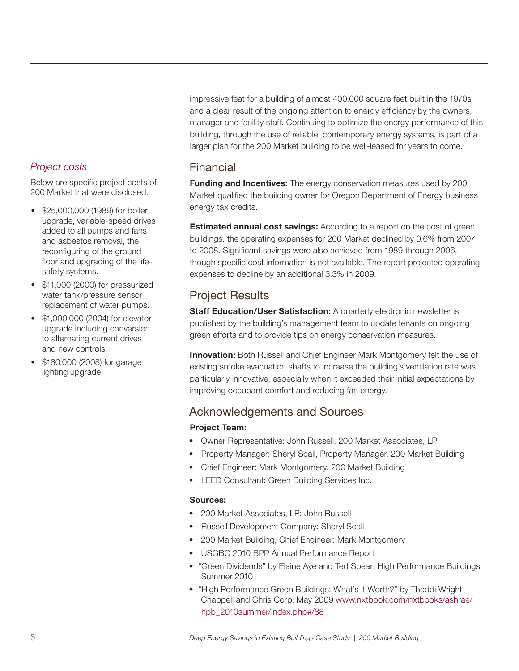### *Project costs*

Below are specific project costs of 200 Market that were disclosed.

- • \$25,000,000 (1989) for boiler upgrade, variable-speed drives added to all pumps and fans and asbestos removal, the reconfiguring of the ground floor and upgrading of the lifesafety systems.
- \$11,000 (2000) for pressurized water tank/pressure sensor replacement of water pumps.
- • \$1,000,000 (2004) for elevator upgrade including conversion to alternating current drives and new controls.
- \$180,000 (2008) for garage lighting upgrade.

impressive feat for a building of almost 400,000 square feet built in the 1970s and a clear result of the ongoing attention to energy efficiency by the owners, manager and facility staff. Continuing to optimize the energy performance of this building, through the use of reliable, contemporary energy systems, is part of a larger plan for the 200 Market building to be well-leased for years to come.

## Financial

**Funding and Incentives:** The energy conservation measures used by 200 Market qualified the building owner for Oregon Department of Energy business energy tax credits.

**Estimated annual cost savings:** According to a report on the cost of green buildings, the operating expenses for 200 Market declined by 0.6% from 2007 to 2008. Significant savings were also achieved from 1989 through 2006, though specific cost information is not available. The report projected operating expenses to decline by an additional 3.3% in 2009.

# Project Results

**Staff Education/User Satisfaction:** A quarterly electronic newsletter is published by the building's management team to update tenants on ongoing green efforts and to provide tips on energy conservation measures.

**Innovation:** Both Russell and Chief Engineer Mark Montgomery felt the use of existing smoke evacuation shafts to increase the building's ventilation rate was particularly innovative, especially when it exceeded their initial expectations by improving occupant comfort and reducing fan energy.

# Acknowledgements and Sources

#### **Project Team:**

- Owner Representative: John Russell, 200 Market Associates, LP
- Property Manager: Sheryl Scali, Property Manager, 200 Market Building
- Chief Engineer: Mark Montgomery, 200 Market Building
- LEED Consultant: Green Building Services Inc.

#### **Sources:**

- • 200 Market Associates, LP: John Russell
- • Russell Development Company: Sheryl Scali
- 200 Market Building, Chief Engineer: Mark Montgomery
- • USGBC 2010 BPP Annual Performance Report
- "Green Dividends" by Elaine Aye and Ted Spear; High Performance Buildings, Summer 2010
- "High Performance Green Buildings: What's it Worth?" by Theddi Wright Chappell and Chris Corp, May 2009 [www.nxtbook.com/nxtbooks/ashrae/](http://www.nxtbook.com/nxtbooks/ashrae/hpb_2010summer/index.php#/88) hpb\_2010summer/index.php#/88